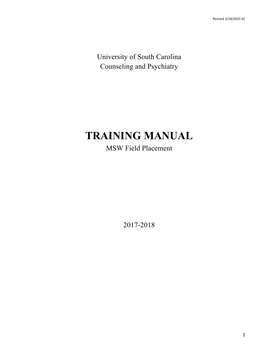University of South Carolina Counseling and Psychiatry

# **TRAINING MANUAL**

# MSW Field Placement

2017-2018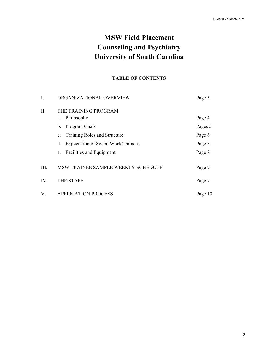# **MSW Field Placement Counseling and Psychiatry University of South Carolina**

#### **TABLE OF CONTENTS**

| L   | ORGANIZATIONAL OVERVIEW                          | Page 3  |
|-----|--------------------------------------------------|---------|
| П.  | THE TRAINING PROGRAM                             |         |
|     | Philosophy<br>a.                                 | Page 4  |
|     | Program Goals<br>b.                              | Pages 5 |
|     | Training Roles and Structure<br>$\mathbf{c}$ .   | Page 6  |
|     | <b>Expectation of Social Work Trainees</b><br>d. | Page 8  |
|     | Facilities and Equipment<br>e.                   | Page 8  |
| Ш.  | MSW TRAINEE SAMPLE WEEKLY SCHEDULE               | Page 9  |
| IV. | <b>THE STAFF</b>                                 | Page 9  |
| V.  | <b>APPLICATION PROCESS</b>                       | Page 10 |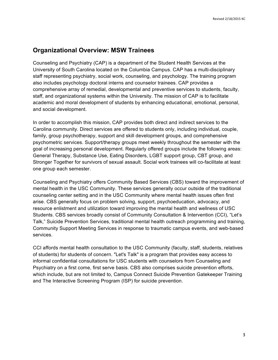# **Organizational Overview: MSW Trainees**

 Counseling and Psychiatry (CAP) is a department of the Student Health Services at the University of South Carolina located on the Columbia Campus. CAP has a multi-disciplinary staff representing psychiatry, social work, counseling, and psychology. The training program also includes psychology doctoral interns and counselor trainees. CAP provides a comprehensive array of remedial, developmental and preventive services to students, faculty, staff, and organizational systems within the University. The mission of CAP is to facilitate academic and moral development of students by enhancing educational, emotional, personal, and social development.

 In order to accomplish this mission, CAP provides both direct and indirect services to the Carolina community. Direct services are offered to students only, including individual, couple, psychometric services. Support/therapy groups meet weekly throughout the semester with the goal of increasing personal development. Regularly offered groups include the following areas: General Therapy, Substance Use, Eating Disorders, LGBT support group, CBT group, and Stronger Together for survivors of sexual assault. Social work trainees will co-facilitate at least family, group psychotherapy, support and skill development groups, and comprehensive one group each semester.

 Counseling and Psychiatry offers Community Based Services (CBS) toward the improvement of mental health in the USC Community. These services generally occur outside of the traditional counseling center setting and in the USC Community where mental health issues often first arise. CBS generally focus on problem solving, support, psychoeducation, advocacy, and resource enlistment and utilization toward improving the mental health and wellness of USC Students. CBS services broadly consist of Community Consultation & Intervention (CCI), "Let's Talk," Suicide Prevention Services, traditional mental health outreach programming and training, Community Support Meeting Services in response to traumatic campus events, and web-based services.

services.<br>CCI affords mental health consultation to the USC Community (faculty, staff, students, relatives of students) for students of concern. "Let's Talk" is a program that provides easy access to informal confidential consultations for USC students with counselors from Counseling and which include, but are not limited to, Campus Connect Suicide Prevention Gatekeeper Training and The Interactive Screening Program (ISP) for suicide prevention. Psychiatry on a first come, first serve basis. CBS also comprises suicide prevention efforts,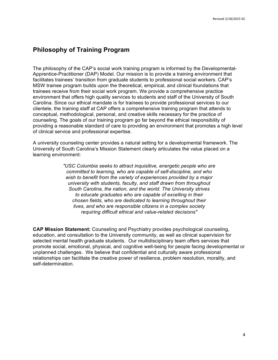# **Philosophy of Training Program**

 The philosophy of the CAP's social work training program is informed by the Developmental- Apprentice-Practitioner (DAP) Model. Our mission is to provide a training environment that facilitates trainees' transition from graduate students to professional social workers. CAP's environment that offers high quality services to students and staff of the University of South Carolina. Since our ethical mandate is for trainees to provide professional services to our clientele, the training staff at CAP offers a comprehensive training program that attends to conceptual, methodological, personal, and creative skills necessary for the practice of providing a reasonable standard of care to providing an environment that promotes a high level MSW trainee program builds upon the theoretical, empirical, and clinical foundations that trainees receive from their social work program. We provide a comprehensive practice counseling. The goals of our training program go far beyond the ethical responsibility of of clinical service and professional expertise.

 A university counseling center provides a natural setting for a developmental framework. The University of South Carolina's Mission Statement clearly articulates the value placed on a learning environment:

> *"USC Columbia seeks to attract inquisitive, energetic people who are committed to learning, who are capable of self-discipline, and who wish to benefit from the variety of experiences provided by a major university with students, faculty, and staff drawn from throughout South Carolina, the nation, and the world. The University strives chosen fields, who are dedicated to learning throughout their lives, and who are responsible citizens in a complex society requiring difficult ethical and value-related decisions" to educate graduates who are capable of excelling in their*

 **CAP Mission Statement:** Counseling and Psychiatry provides psychological counseling, education, and consultation to the University community, as well as clinical supervision for selected mental health graduate students. Our multidisciplinary team offers services that promote social, emotional, physical, and cognitive well-being for people facing developmental or unplanned challenges. We believe that confidential and culturally aware professional relationships can facilitate the creative power of resilience, problem resolution, morality, and self-determination.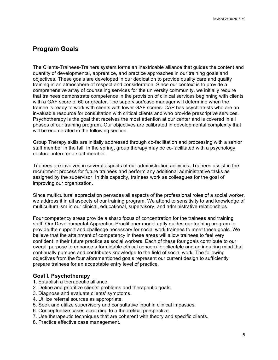# **Program Goals**

 The Clients-Trainees-Trainers system forms an inextricable alliance that guides the content and quantity of developmental, apprentice, and practice approaches in our training goals and training in an atmosphere of respect and consideration. Since our context is to provide a comprehensive array of counseling services for the university community, we initially require that trainees demonstrate competence in the provision of clinical services beginning with clients with a GAF score of 60 or greater. The supervisor/case manager will determine when the invaluable resource for consultation with critical clients and who provide prescriptive services. Psychotherapy is the goal that receives the most attention at our center and is covered in all phases of our training program. Our objectives are calibrated in developmental complexity that will be enumerated in the following section. objectives. These goals are developed in our dedication to provide quality care and quality trainee is ready to work with clients with lower GAF scores. CAP has psychiatrists who are an

 Group Therapy skills are initially addressed through co-facilitation and processing with a senior staff member in the fall. In the spring, group therapy may be co-facilitated with a psychology doctoral intern or a staff member.

 Trainees are involved in several aspects of our administration activities. Trainees assist in the recruitment process for future trainees and perform any additional administrative tasks as assigned by the supervisor. In this capacity, trainees work as colleagues for the goal of improving our organization.

 Since multicultural appreciation pervades all aspects of the professional roles of a social worker, we address it in all aspects of our training program. We attend to sensitivity to and knowledge of multiculturalism in our clinical, educational, supervisory, and administrative relationships.

 Four competency areas provide a sharp focus of concentration for the trainees and training staff. Our Developmental-Apprentice-Practitioner model aptly guides our training program to provide the support and challenge necessary for social work trainees to meet these goals. We believe that the attainment of competency in these areas will allow trainees to feel very confident in their future practice as social workers. Each of these four goals contribute to our continually pursues and contributes knowledge to the field of social work. The following objectives from the four aforementioned goals represent our current design to sufficiently overall purpose to enhance a formidable ethical concern for clientele and an inquiring mind that prepare trainees for an acceptable entry level of practice.

#### **Goal I. Psychotherapy**

- 1. Establish a therapeutic alliance.
- 2. Define and prioritize clients' problems and therapeutic goals.
- 3. Diagnose and evaluate clients' symptoms.
- 4. Utilize referral sources as appropriate.
- 5. Seek and utilize supervisory and consultative input in clinical impasses.
- 6. Conceptualize cases according to a theoretical perspective.
- 7. Use therapeutic techniques that are coherent with theory and specific clients.
- 8. Practice effective case management.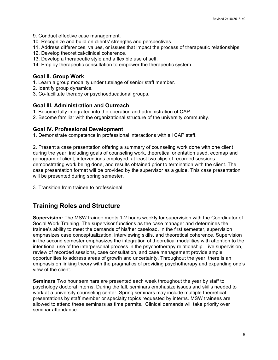- 9. Conduct effective case management.
- 10. Recognize and build on clients' strengths and perspectives.
- 11. Address differences, values, or issues that impact the process of therapeutic relationships.
- 12. Develop theoretical/clinical coherence.
- 13. Develop a therapeutic style and a flexible use of self.
- 14. Employ therapeutic consultation to empower the therapeutic system.

#### **Goal II. Group Work**

- 1. Learn a group modality under tutelage of senior staff member.
- 2. Identify group dynamics.
- 3. Co-facilitate therapy or psychoeducational groups.

#### **Goal III. Administration and Outreach**

- 1. Become fully integrated into the operation and administration of CAP.
- 2. Become familiar with the organizational structure of the university community.

#### **Goal IV. Professional Development**

1. Demonstrate competence in professional interactions with all CAP staff.

 during the year, including goals of counseling work, theoretical orientation used, ecomap and genogram of client, interventions employed, at least two clips of recorded sessions demonstrating work being done, and results obtained prior to termination with the client. The case presentation format will be provided by the supervisor as a guide. This case presentation will be presented during spring semester. 2. Present a case presentation offering a summary of counseling work done with one client

3. Transition from trainee to professional.

# **Training Roles and Structure**

 **Supervision:** The MSW trainee meets 1-2 hours weekly for supervision with the Coordinator of Social Work Training. The supervisor functions as the case manager and determines the intentional use of the interpersonal process in the psychotherapy relationship. Live supervision, review of recorded sessions, case consultation, and case management provide ample opportunities to address areas of growth and uncertainty. Throughout the year, there is an emphasis on linking theory with the pragmatics of providing psychotherapy and expanding one's view of the client. trainee's ability to meet the demands of his/her caseload. In the first semester, supervision emphasizes case conceptualization, interviewing skills, and theoretical coherence. Supervision in the second semester emphasizes the integration of theoretical modalities with attention to the

 **Seminars** Two hour seminars are presented each week throughout the year by staff to psychology doctoral interns. During the fall, seminars emphasize issues and skills needed to work at a university counseling center. Spring seminars may include multiple theoretical presentations by staff member or specialty topics requested by interns. MSW trainees are allowed to attend these seminars as time permits. Clinical demands will take priority over seminar attendance.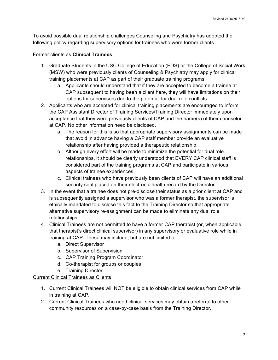To avoid possible dual relationship challenges Counseling and Psychiatry has adopted the following policy regarding supervisory options for trainees who were former clients.

#### Former clients as **Clinical Trainees**

- 1. Graduate Students in the USC College of Education (EDS) or the College of Social Work (MSW) who were previously clients of Counseling & Psychiatry may apply for clinical training placements at CAP as part of their graduate training programs.
	- a. Applicants should understand that if they are accepted to become a trainee at CAP subsequent to having been a client here, they will have limitations on their options for supervisors due to the potential for dual role conflicts.
- 2. Applicants who are accepted for clinical training placements are encouraged to inform the CAP Assistant Director of Training Services/Training Director immediately upon acceptance that they were previously clients of CAP and the name(s) of their counselor at CAP. No other information need be disclosed.
	- at CAP. No other information need be disclosed. a. The reason for this is so that appropriate supervisory assignments can be made that avoid in advance having a CAP staff member provide an evaluative relationship after having provided a therapeutic relationship.
		- b. Although every effort will be made to minimize the potential for dual role relationships, it should be clearly understood that EVERY CAP clinical staff is considered part of the training programs at CAP and participate in various aspects of trainee experiences.
		- c. Clinical trainees who have previously been clients of CAP will have an additional security seal placed on their electronic health record by the Director.
- 3. In the event that a trainee does not pre-disclose their status as a prior client at CAP and is subsequently assigned a supervisor who was a former therapist, the supervisor is ethically mandated to disclose this fact to the Training Director so that appropriate alternative supervisory re-assignment can be made to eliminate any dual role relationships.
- 4. Clinical Trainees are not permitted to have a former CAP therapist (or, when applicable, that therapist's direct clinical supervisor) in any supervisory or evaluative role while in training at CAP. These may include, but are not limited to:
	- a. Direct Supervisor
	- b. Supervisor of Supervision
	- c. CAP Training Program Coordinator
	- d. Co-therapist for groups or couples
	- e. Training Director

#### Current Clinical Trainees as Clients

- 1. Current Clinical Trainees will NOT be eligible to obtain clinical services from CAP while in training at CAP.
- 2. Current Clinical Trainees who need clinical services may obtain a referral to other community resources on a case-by-case basis from the Training Director.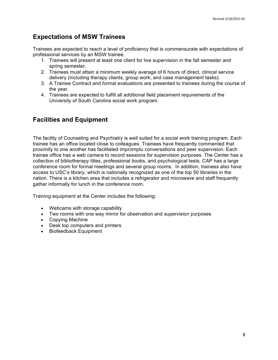### **Expectations of MSW Trainees**

 Trainees are expected to reach a level of proficiency that is commensurate with expectations of professional services by an MSW trainee.

- 1. Trainees will present at least one client for live supervision in the fall semester and spring semester.
- 2. Trainees must attain a minimum weekly average of 6 hours of direct, clinical service delivery (including therapy clients, group work, and case management tasks).
- delivery (including therapy clients, group work, and case management tasks). 3. A Trainee Contract and formal evaluations are presented to trainees during the course of the year.
- 4. Trainees are expected to fulfill all additional field placement requirements of the University of South Carolina social work program.

# **Facilities and Equipment**

 The facility of Counseling and Psychiatry is well suited for a social work training program. Each proximity to one another has facilitated impromptu conversations and peer supervision. Each collection of bibliotherapy titles, professional books, and psychological tests. CAP has a large conference room for formal meetings and several group rooms. In addition, trainees also have access to USC's library, which is nationally recognized as one of the top 50 libraries in the nation. There is a kitchen area that includes a refrigerator and microwave and staff frequently gather informally for lunch in the conference room. trainee has an office located close to colleagues. Trainees have frequently commented that trainee office has a web camera to record sessions for supervision purposes. The Center has a

Training equipment at the Center includes the following:

- Webcams with storage capability
- Two rooms with one way mirror for observation and supervision purposes
- Copying Machine
- Desk top computers and printers
- Biofeedback Equipment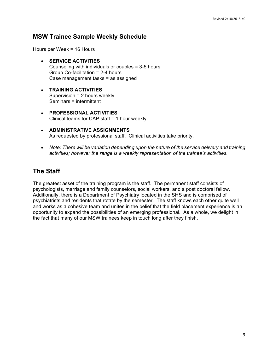#### **MSW Trainee Sample Weekly Schedule**

Hours per Week = 16 Hours

- Counseling with individuals or couples = 3-5 hours Group Co-facilitation = 2-4 hours Case management tasks = as assigned • **SERVICE ACTIVITIES**
- • **TRAINING ACTIVITIES**  Supervision = 2 hours weekly Seminars = intermittent
- Clinical teams for CAP staff = 1 hour weekly • **PROFESSIONAL ACTIVITIES**
- As requested by professional staff. Clinical activities take priority. • **ADMINISTRATIVE ASSIGNMENTS**
- Note: There will be variation depending upon the nature of the service delivery and training activities; however the range is a weekly representation of the trainee's activities.

# **The Staff**

 The greatest asset of the training program is the staff. The permanent staff consists of psychologists, marriage and family counselors, social workers, and a post doctoral fellow. Additionally, there is a Department of Psychiatry located in the SHS and is comprised of psychiatrists and residents that rotate by the semester. The staff knows each other quite well and works as a cohesive team and unites in the belief that the field placement experience is an opportunity to expand the possibilities of an emerging professional. As a whole, we delight in the fact that many of our MSW trainees keep in touch long after they finish.